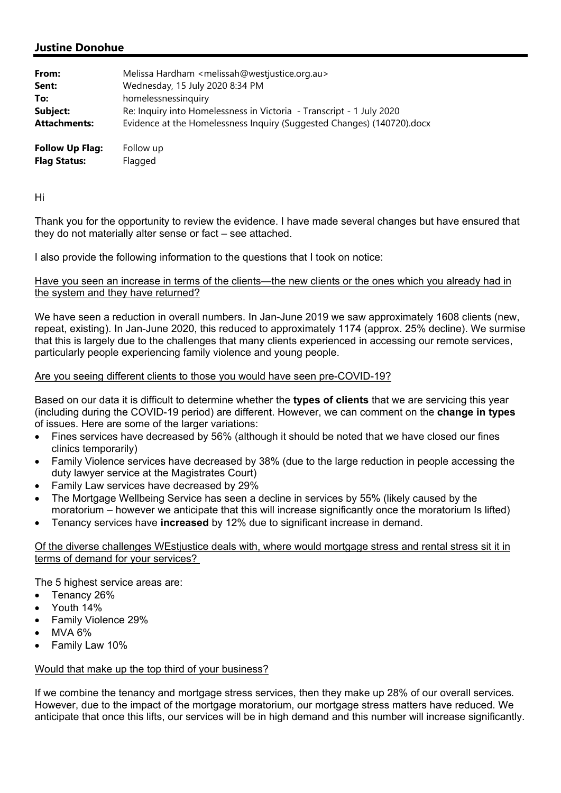# **Justine Donohue**

| From:               | Melissa Hardham <melissah@westjustice.org.au></melissah@westjustice.org.au> |
|---------------------|-----------------------------------------------------------------------------|
| Sent:               | Wednesday, 15 July 2020 8:34 PM                                             |
| To:                 | homelessnessinguiry                                                         |
| Subject:            | Re: Inquiry into Homelessness in Victoria - Transcript - 1 July 2020        |
| <b>Attachments:</b> | Evidence at the Homelessness Inquiry (Suggested Changes) (140720).docx      |
|                     |                                                                             |

**Follow Up Flag:** Follow up **Flag Status:** Flagged

Hi

Thank you for the opportunity to review the evidence. I have made several changes but have ensured that they do not materially alter sense or fact – see attached.

I also provide the following information to the questions that I took on notice:

## Have you seen an increase in terms of the clients—the new clients or the ones which you already had in the system and they have returned?

We have seen a reduction in overall numbers. In Jan-June 2019 we saw approximately 1608 clients (new, repeat, existing). In Jan-June 2020, this reduced to approximately 1174 (approx. 25% decline). We surmise that this is largely due to the challenges that many clients experienced in accessing our remote services, particularly people experiencing family violence and young people.

# Are you seeing different clients to those you would have seen pre-COVID-19?

Based on our data it is difficult to determine whether the **types of clients** that we are servicing this year (including during the COVID-19 period) are different. However, we can comment on the **change in types** of issues. Here are some of the larger variations:

- Fines services have decreased by 56% (although it should be noted that we have closed our fines clinics temporarily)
- Family Violence services have decreased by 38% (due to the large reduction in people accessing the duty lawyer service at the Magistrates Court)
- Family Law services have decreased by 29%
- The Mortgage Wellbeing Service has seen a decline in services by 55% (likely caused by the moratorium – however we anticipate that this will increase significantly once the moratorium Is lifted)
- Tenancy services have **increased** by 12% due to significant increase in demand.

### Of the diverse challenges WEstjustice deals with, where would mortgage stress and rental stress sit it in terms of demand for your services?

The 5 highest service areas are:

- Tenancy 26%
- Youth 14%
- Family Violence 29%
- MVA 6%
- Family Law 10%

# Would that make up the top third of your business?

If we combine the tenancy and mortgage stress services, then they make up 28% of our overall services*.*  However, due to the impact of the mortgage moratorium, our mortgage stress matters have reduced. We anticipate that once this lifts, our services will be in high demand and this number will increase significantly.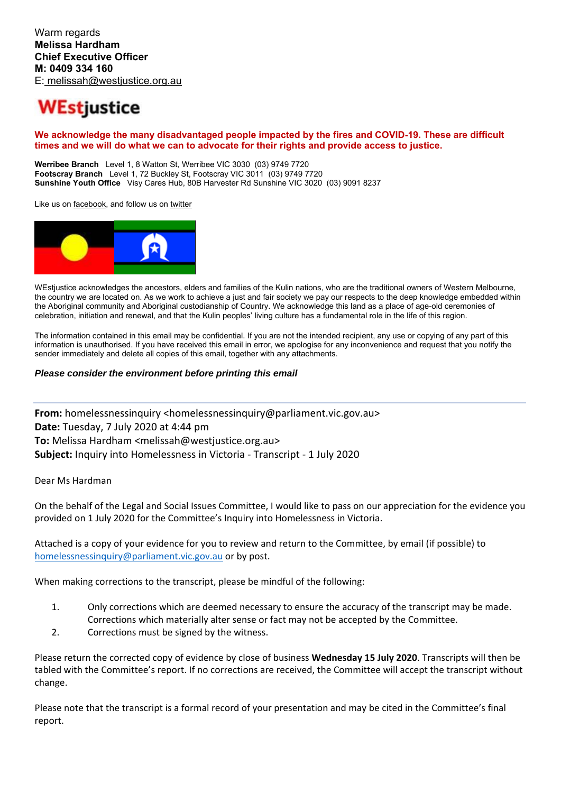# **WEstjustice**

#### **We acknowledge the many disadvantaged people impacted by the fires and COVID-19. These are difficult times and we will do what we can to advocate for their rights and provide access to justice.**

**Werribee Branch** Level 1, 8 Watton St, Werribee VIC 3030 (03) 9749 7720 **Footscray Branch** Level 1, 72 Buckley St, Footscray VIC 3011 (03) 9749 7720 **Sunshine Youth Office** Visy Cares Hub, 80B Harvester Rd Sunshine VIC 3020 (03) 9091 8237

Like us on facebook, and follow us on twitter



WEstjustice acknowledges the ancestors, elders and families of the Kulin nations, who are the traditional owners of Western Melbourne, the country we are located on. As we work to achieve a just and fair society we pay our respects to the deep knowledge embedded within the Aboriginal community and Aboriginal custodianship of Country. We acknowledge this land as a place of age-old ceremonies of celebration, initiation and renewal, and that the Kulin peoples' living culture has a fundamental role in the life of this region.

The information contained in this email may be confidential. If you are not the intended recipient, any use or copying of any part of this information is unauthorised. If you have received this email in error, we apologise for any inconvenience and request that you notify the sender immediately and delete all copies of this email, together with any attachments.

#### *Please consider the environment before printing this email*

**From:** homelessnessinguiry <homelessnessinguiry@parliament.vic.gov.au> **Date:** Tuesday, 7 July 2020 at 4:44 pm **To:** Melissa Hardham <melissah@westjustice.org.au> **Subject:** Inquiry into Homelessness in Victoria ‐ Transcript ‐ 1 July 2020

Dear Ms Hardman

On the behalf of the Legal and Social Issues Committee, I would like to pass on our appreciation for the evidence you provided on 1 July 2020 for the Committee's Inquiry into Homelessness in Victoria.

Attached is a copy of your evidence for you to review and return to the Committee, by email (if possible) to homelessnessinquiry@parliament.vic.gov.au or by post.

When making corrections to the transcript, please be mindful of the following:

- 1. Only corrections which are deemed necessary to ensure the accuracy of the transcript may be made. Corrections which materially alter sense or fact may not be accepted by the Committee.
- 2. Corrections must be signed by the witness.

Please return the corrected copy of evidence by close of business **Wednesday 15 July 2020**. Transcripts will then be tabled with the Committee's report. If no corrections are received, the Committee will accept the transcript without change.

Please note that the transcript is a formal record of your presentation and may be cited in the Committee's final report.